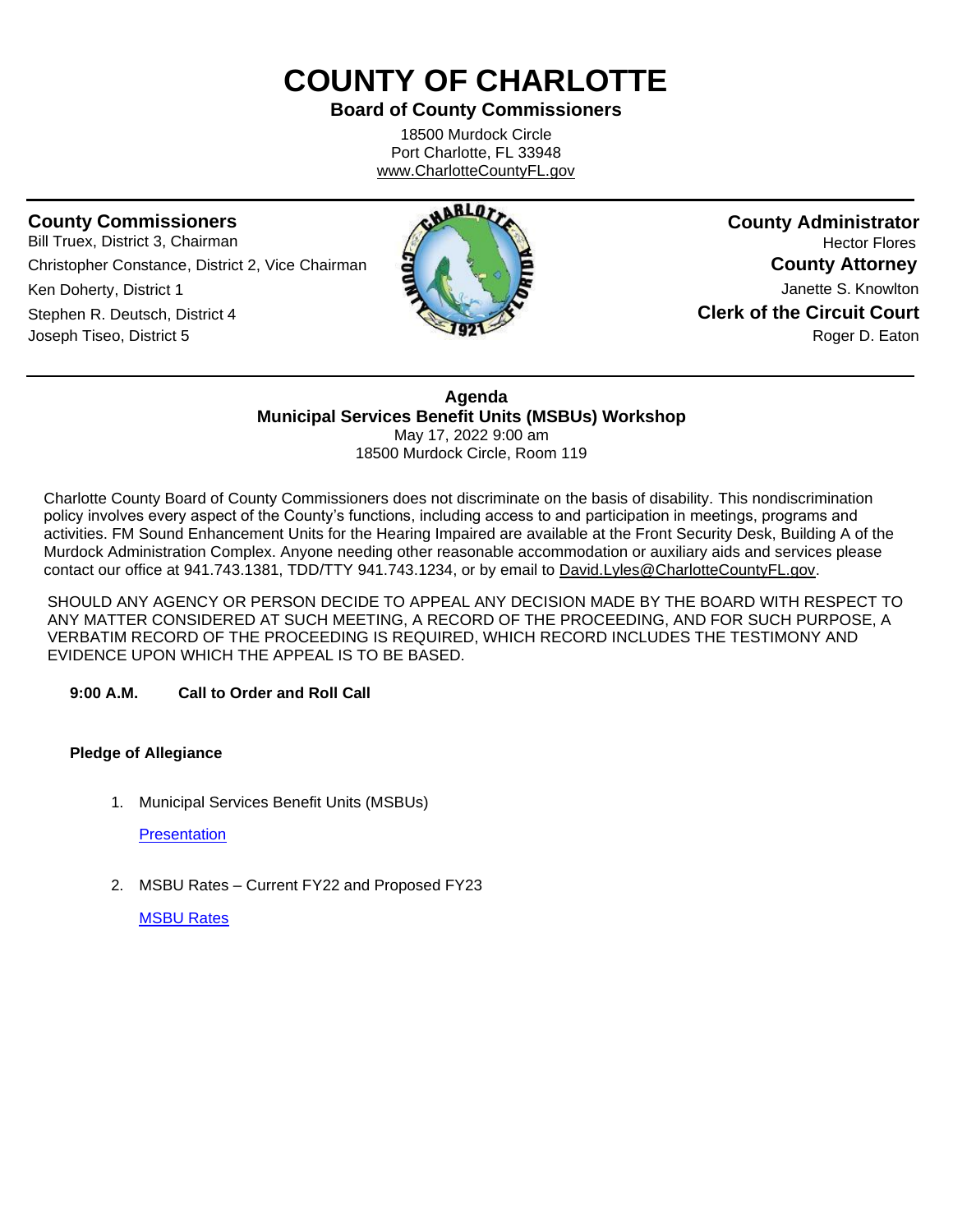# **COUNTY OF CHARLOTTE**

## **Board of County Commissioners**

18500 Murdock Circle Port Charlotte, FL 33948 [www.CharlotteCountyFL.gov](http://www.charlottecountyfl.gov/)

## **County Commissioners**

Bill Truex, District 3, Chairman Christopher Constance, District 2, Vice Chairman Ken Doherty, District 1 Stephen R. Deutsch, District 4 Joseph Tiseo, District 5



**County Administrator** Hector Flores **County Attorney** Janette S. Knowlton **Clerk of the Circuit Court** Roger D. Eaton

**Agenda Municipal Services Benefit Units (MSBUs) Workshop** May 17, 2022 9:00 am

18500 Murdock Circle, Room 119

Charlotte County Board of County Commissioners does not discriminate on the basis of disability. This nondiscrimination policy involves every aspect of the County's functions, including access to and participation in meetings, programs and activities. FM Sound Enhancement Units for the Hearing Impaired are available at the Front Security Desk, Building A of the Murdock Administration Complex. Anyone needing other reasonable accommodation or auxiliary aids and services please contact our office at 941.743.1381, TDD/TTY 941.743.1234, or by email to David.Lyles@CharlotteCountyFL.gov.

SHOULD ANY AGENCY OR PERSON DECIDE TO APPEAL ANY DECISION MADE BY THE BOARD WITH RESPECT TO ANY MATTER CONSIDERED AT SUCH MEETING, A RECORD OF THE PROCEEDING, AND FOR SUCH PURPOSE, A VERBATIM RECORD OF THE PROCEEDING IS REQUIRED, WHICH RECORD INCLUDES THE TESTIMONY AND EVIDENCE UPON WHICH THE APPEAL IS TO BE BASED.

#### **9:00 A.M. Call to Order and Roll Call**

#### **Pledge of Allegiance**

1. Municipal Services Benefit Units (MSBUs)

**[Presentation](https://data.charlottecountyfl.gov/agenda/20220517/1.pdf)** 

2. MSBU Rates – Current FY22 and Proposed FY23

[MSBU Rates](https://data.charlottecountyfl.gov/agenda/20220517/2.pdf)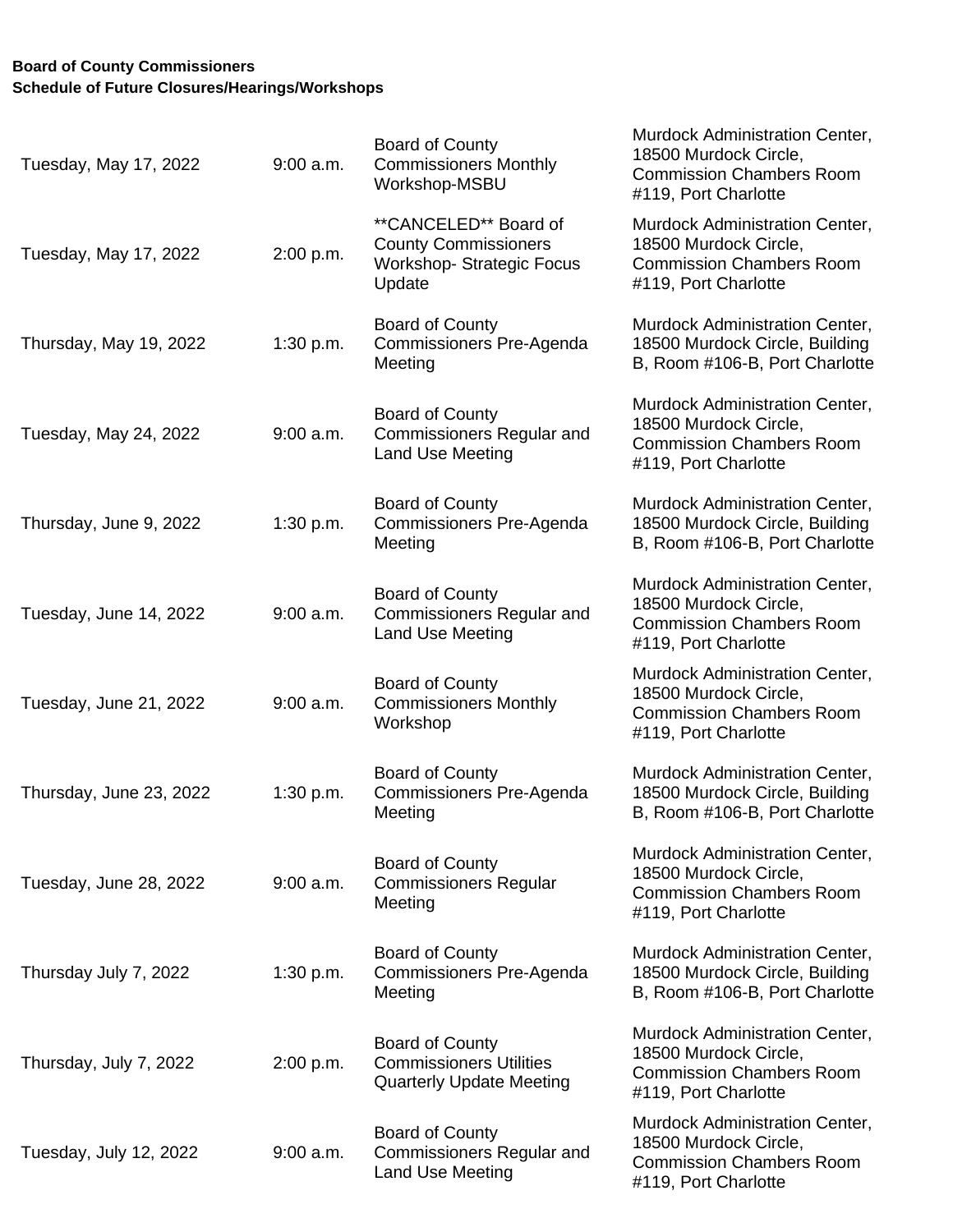## **Board of County Commissioners Schedule of Future Closures/Hearings/Workshops**

| Tuesday, May 17, 2022   | $9:00$ a.m. | <b>Board of County</b><br><b>Commissioners Monthly</b><br>Workshop-MSBU                           | Murdock Administration Center,<br>18500 Murdock Circle,<br><b>Commission Chambers Room</b><br>#119, Port Charlotte |
|-------------------------|-------------|---------------------------------------------------------------------------------------------------|--------------------------------------------------------------------------------------------------------------------|
| Tuesday, May 17, 2022   | 2:00 p.m.   | **CANCELED** Board of<br><b>County Commissioners</b><br><b>Workshop-Strategic Focus</b><br>Update | Murdock Administration Center,<br>18500 Murdock Circle,<br><b>Commission Chambers Room</b><br>#119, Port Charlotte |
| Thursday, May 19, 2022  | 1:30 p.m.   | <b>Board of County</b><br><b>Commissioners Pre-Agenda</b><br>Meeting                              | Murdock Administration Center,<br>18500 Murdock Circle, Building<br>B, Room #106-B, Port Charlotte                 |
| Tuesday, May 24, 2022   | $9:00$ a.m. | <b>Board of County</b><br><b>Commissioners Regular and</b><br>Land Use Meeting                    | Murdock Administration Center,<br>18500 Murdock Circle,<br><b>Commission Chambers Room</b><br>#119, Port Charlotte |
| Thursday, June 9, 2022  | 1:30 p.m.   | <b>Board of County</b><br>Commissioners Pre-Agenda<br>Meeting                                     | Murdock Administration Center,<br>18500 Murdock Circle, Building<br>B, Room #106-B, Port Charlotte                 |
| Tuesday, June 14, 2022  | $9:00$ a.m. | <b>Board of County</b><br><b>Commissioners Regular and</b><br>Land Use Meeting                    | Murdock Administration Center,<br>18500 Murdock Circle,<br><b>Commission Chambers Room</b><br>#119, Port Charlotte |
| Tuesday, June 21, 2022  | $9:00$ a.m. | <b>Board of County</b><br><b>Commissioners Monthly</b><br>Workshop                                | Murdock Administration Center,<br>18500 Murdock Circle,<br><b>Commission Chambers Room</b><br>#119, Port Charlotte |
| Thursday, June 23, 2022 | 1:30 p.m.   | Board of County<br>Commissioners Pre-Agenda<br>Meeting                                            | Murdock Administration Center,<br>18500 Murdock Circle, Building<br>B, Room #106-B, Port Charlotte                 |
| Tuesday, June 28, 2022  | $9:00$ a.m. | <b>Board of County</b><br><b>Commissioners Regular</b><br>Meeting                                 | Murdock Administration Center,<br>18500 Murdock Circle,<br><b>Commission Chambers Room</b><br>#119, Port Charlotte |
| Thursday July 7, 2022   | 1:30 p.m.   | <b>Board of County</b><br>Commissioners Pre-Agenda<br>Meeting                                     | Murdock Administration Center,<br>18500 Murdock Circle, Building<br>B, Room #106-B, Port Charlotte                 |
| Thursday, July 7, 2022  | 2:00 p.m.   | <b>Board of County</b><br><b>Commissioners Utilities</b><br><b>Quarterly Update Meeting</b>       | Murdock Administration Center,<br>18500 Murdock Circle,<br><b>Commission Chambers Room</b><br>#119, Port Charlotte |
| Tuesday, July 12, 2022  | $9:00$ a.m. | <b>Board of County</b><br><b>Commissioners Regular and</b><br><b>Land Use Meeting</b>             | Murdock Administration Center,<br>18500 Murdock Circle,<br><b>Commission Chambers Room</b><br>#119, Port Charlotte |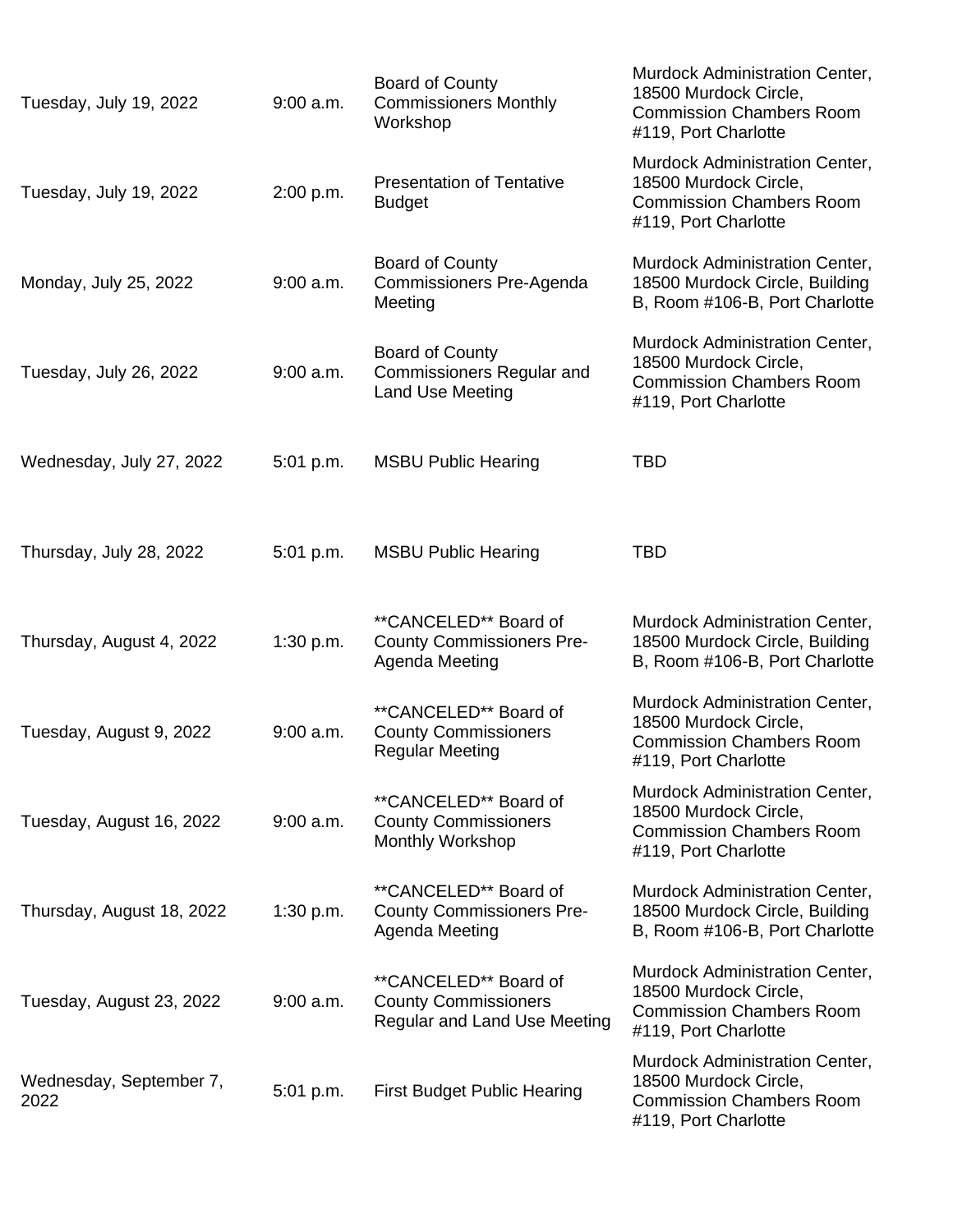| Tuesday, July 19, 2022          | $9:00$ a.m. | Board of County<br><b>Commissioners Monthly</b><br>Workshop                                 | Murdock Administration Center,<br>18500 Murdock Circle,<br><b>Commission Chambers Room</b><br>#119, Port Charlotte |
|---------------------------------|-------------|---------------------------------------------------------------------------------------------|--------------------------------------------------------------------------------------------------------------------|
| Tuesday, July 19, 2022          | 2:00 p.m.   | <b>Presentation of Tentative</b><br><b>Budget</b>                                           | Murdock Administration Center,<br>18500 Murdock Circle,<br><b>Commission Chambers Room</b><br>#119, Port Charlotte |
| Monday, July 25, 2022           | $9:00$ a.m. | <b>Board of County</b><br>Commissioners Pre-Agenda<br>Meeting                               | Murdock Administration Center,<br>18500 Murdock Circle, Building<br>B, Room #106-B, Port Charlotte                 |
| Tuesday, July 26, 2022          | $9:00$ a.m. | Board of County<br><b>Commissioners Regular and</b><br>Land Use Meeting                     | Murdock Administration Center,<br>18500 Murdock Circle,<br><b>Commission Chambers Room</b><br>#119, Port Charlotte |
| Wednesday, July 27, 2022        | 5:01 p.m.   | <b>MSBU Public Hearing</b>                                                                  | <b>TBD</b>                                                                                                         |
| Thursday, July 28, 2022         | 5:01 p.m.   | <b>MSBU Public Hearing</b>                                                                  | <b>TBD</b>                                                                                                         |
| Thursday, August 4, 2022        | 1:30 p.m.   | **CANCELED** Board of<br><b>County Commissioners Pre-</b><br>Agenda Meeting                 | Murdock Administration Center,<br>18500 Murdock Circle, Building<br>B, Room #106-B, Port Charlotte                 |
| Tuesday, August 9, 2022         | $9:00$ a.m. | **CANCELED** Board of<br><b>County Commissioners</b><br><b>Regular Meeting</b>              | Murdock Administration Center,<br>18500 Murdock Circle,<br><b>Commission Chambers Room</b><br>#119, Port Charlotte |
| Tuesday, August 16, 2022        | $9:00$ a.m. | **CANCELED** Board of<br><b>County Commissioners</b><br><b>Monthly Workshop</b>             | Murdock Administration Center,<br>18500 Murdock Circle,<br><b>Commission Chambers Room</b><br>#119, Port Charlotte |
| Thursday, August 18, 2022       | 1:30 p.m.   | **CANCELED** Board of<br><b>County Commissioners Pre-</b><br>Agenda Meeting                 | Murdock Administration Center,<br>18500 Murdock Circle, Building<br>B, Room #106-B, Port Charlotte                 |
| Tuesday, August 23, 2022        | $9:00$ a.m. | **CANCELED** Board of<br><b>County Commissioners</b><br><b>Regular and Land Use Meeting</b> | Murdock Administration Center,<br>18500 Murdock Circle,<br><b>Commission Chambers Room</b><br>#119, Port Charlotte |
| Wednesday, September 7,<br>2022 | $5:01$ p.m. | <b>First Budget Public Hearing</b>                                                          | Murdock Administration Center,<br>18500 Murdock Circle,<br><b>Commission Chambers Room</b><br>#119, Port Charlotte |